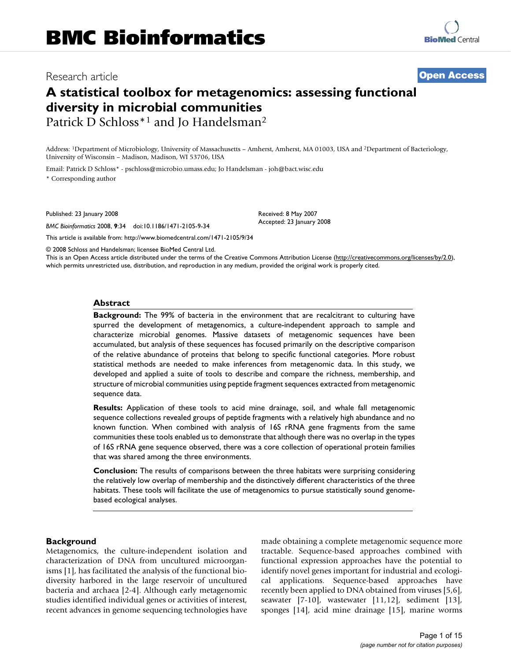# Research article **[Open Access](http://www.biomedcentral.com/info/about/charter/)**

# **A statistical toolbox for metagenomics: assessing functional diversity in microbial communities** Patrick D Schloss<sup>\*1</sup> and Jo Handelsman<sup>2</sup>

Address: 1Department of Microbiology, University of Massachusetts – Amherst, Amherst, MA 01003, USA and 2Department of Bacteriology, University of Wisconsin – Madison, Madison, WI 53706, USA

Email: Patrick D Schloss\* - pschloss@microbio.umass.edu; Jo Handelsman - joh@bact.wisc.edu \* Corresponding author

Published: 23 January 2008

*BMC Bioinformatics* 2008, **9**:34 doi:10.1186/1471-2105-9-34

[This article is available from: http://www.biomedcentral.com/1471-2105/9/34](http://www.biomedcentral.com/1471-2105/9/34)

© 2008 Schloss and Handelsman; licensee BioMed Central Ltd.

This is an Open Access article distributed under the terms of the Creative Commons Attribution License [\(http://creativecommons.org/licenses/by/2.0\)](http://creativecommons.org/licenses/by/2.0), which permits unrestricted use, distribution, and reproduction in any medium, provided the original work is properly cited.

Received: 8 May 2007 Accepted: 23 January 2008

#### **Abstract**

**Background:** The 99% of bacteria in the environment that are recalcitrant to culturing have spurred the development of metagenomics, a culture-independent approach to sample and characterize microbial genomes. Massive datasets of metagenomic sequences have been accumulated, but analysis of these sequences has focused primarily on the descriptive comparison of the relative abundance of proteins that belong to specific functional categories. More robust statistical methods are needed to make inferences from metagenomic data. In this study, we developed and applied a suite of tools to describe and compare the richness, membership, and structure of microbial communities using peptide fragment sequences extracted from metagenomic sequence data.

**Results:** Application of these tools to acid mine drainage, soil, and whale fall metagenomic sequence collections revealed groups of peptide fragments with a relatively high abundance and no known function. When combined with analysis of 16S rRNA gene fragments from the same communities these tools enabled us to demonstrate that although there was no overlap in the types of 16S rRNA gene sequence observed, there was a core collection of operational protein families that was shared among the three environments.

**Conclusion:** The results of comparisons between the three habitats were surprising considering the relatively low overlap of membership and the distinctively different characteristics of the three habitats. These tools will facilitate the use of metagenomics to pursue statistically sound genomebased ecological analyses.

#### **Background**

Metagenomics, the culture-independent isolation and characterization of DNA from uncultured microorganisms [1], has facilitated the analysis of the functional biodiversity harbored in the large reservoir of uncultured bacteria and archaea [2-4]. Although early metagenomic studies identified individual genes or activities of interest, recent advances in genome sequencing technologies have made obtaining a complete metagenomic sequence more tractable. Sequence-based approaches combined with functional expression approaches have the potential to identify novel genes important for industrial and ecological applications. Sequence-based approaches have recently been applied to DNA obtained from viruses [5,6], seawater [7-10], wastewater [11,12], sediment [13], sponges [14], acid mine drainage [15], marine worms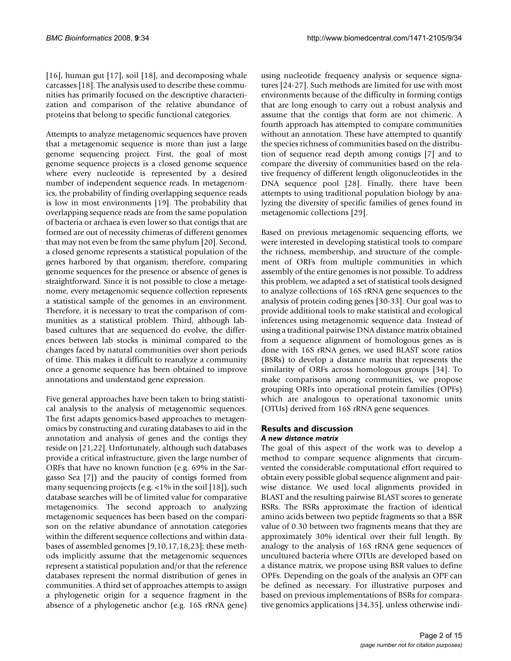[16], human gut [17], soil [18], and decomposing whale carcasses [18]. The analysis used to describe these communities has primarily focused on the descriptive characterization and comparison of the relative abundance of proteins that belong to specific functional categories.

Attempts to analyze metagenomic sequences have proven that a metagenomic sequence is more than just a large genome sequencing project. First, the goal of most genome sequence projects is a closed genome sequence where every nucleotide is represented by a desired number of independent sequence reads. In metagenomics, the probability of finding overlapping sequence reads is low in most environments [19]. The probability that overlapping sequence reads are from the same population of bacteria or archaea is even lower so that contigs that are formed are out of necessity chimeras of different genomes that may not even be from the same phylum [20]. Second, a closed genome represents a statistical population of the genes harbored by that organism; therefore, comparing genome sequences for the presence or absence of genes is straightforward. Since it is not possible to close a metagenome, every metagenomic sequence collection represents a statistical sample of the genomes in an environment. Therefore, it is necessary to treat the comparison of communities as a statistical problem. Third, although labbased cultures that are sequenced do evolve, the differences between lab stocks is minimal compared to the changes faced by natural communities over short periods of time. This makes it difficult to reanalyze a community once a genome sequence has been obtained to improve annotations and understand gene expression.

Five general approaches have been taken to bring statistical analysis to the analysis of metagenomic sequences. The first adapts genomics-based approaches to metagenomics by constructing and curating databases to aid in the annotation and analysis of genes and the contigs they reside on [21,22]. Unfortunately, although such databases provide a critical infrastructure, given the large number of ORFs that have no known function (e.g. 69% in the Sargasso Sea [7]) and the paucity of contigs formed from many sequencing projects (e.g. <1% in the soil [18]), such database searches will be of limited value for comparative metagenomics. The second approach to analyzing metagenomic sequences has been based on the comparison on the relative abundance of annotation categories within the different sequence collections and within databases of assembled genomes [9,10,17,18,23]; these methods implicitly assume that the metagenomic sequences represent a statistical population and/or that the reference databases represent the normal distribution of genes in communities. A third set of approaches attempts to assign a phylogenetic origin for a sequence fragment in the absence of a phylogenetic anchor (e.g. 16S rRNA gene)

using nucleotide frequency analysis or sequence signatures [24-27]. Such methods are limited for use with most environments because of the difficulty in forming contigs that are long enough to carry out a robust analysis and assume that the contigs that form are not chimeric. A fourth approach has attempted to compare communities without an annotation. These have attempted to quantify the species richness of communities based on the distribution of sequence read depth among contigs [7] and to compare the diversity of communities based on the relative frequency of different length oligonucleotides in the DNA sequence pool [28]. Finally, there have been attempts to using traditional population biology by analyzing the diversity of specific families of genes found in metagenomic collections [29].

Based on previous metagenomic sequencing efforts, we were interested in developing statistical tools to compare the richness, membership, and structure of the complement of ORFs from multiple communities in which assembly of the entire genomes is not possible. To address this problem, we adapted a set of statistical tools designed to analyze collections of 16S rRNA gene sequences to the analysis of protein coding genes [30-33]. Our goal was to provide additional tools to make statistical and ecological inferences using metagenomic sequence data. Instead of using a traditional pairwise DNA distance matrix obtained from a sequence alignment of homologous genes as is done with 16S rRNA genes, we used BLAST score ratios (BSRs) to develop a distance matrix that represents the similarity of ORFs across homologous groups [34]. To make comparisons among communities, we propose grouping ORFs into operational protein families (OPFs) which are analogous to operational taxonomic units (OTUs) derived from 16S rRNA gene sequences.

### **Results and discussion** *A new distance matrix*

The goal of this aspect of the work was to develop a method to compare sequence alignments that circumvented the considerable computational effort required to obtain every possible global sequence alignment and pairwise distance. We used local alignments provided in BLAST and the resulting pairwise BLAST scores to generate BSRs. The BSRs approximate the fraction of identical amino acids between two peptide fragments so that a BSR value of 0.30 between two fragments means that they are approximately 30% identical over their full length. By analogy to the analysis of 16S rRNA gene sequences of uncultured bacteria where OTUs are developed based on a distance matrix, we propose using BSR values to define OPFs. Depending on the goals of the analysis an OPF can be defined as necessary. For illustrative purposes and based on previous implementations of BSRs for comparative genomics applications [34,35], unless otherwise indi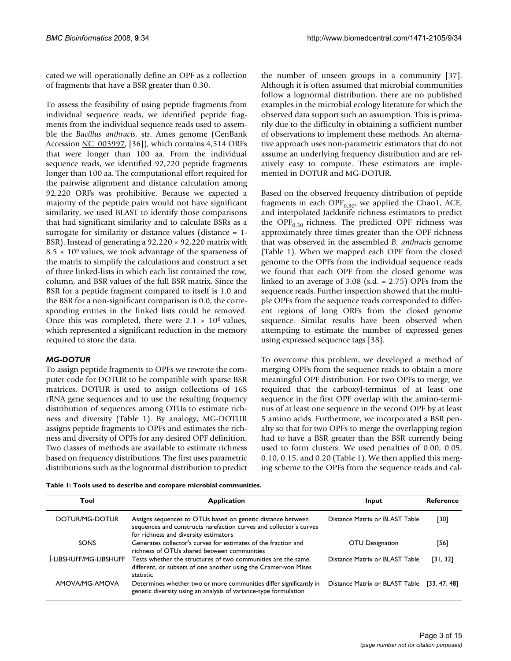cated we will operationally define an OPF as a collection of fragments that have a BSR greater than 0.30.

To assess the feasibility of using peptide fragments from individual sequence reads, we identified peptide fragments from the individual sequence reads used to assemble the *Bacillus anthracis*, str. Ames genome (GenBank Accession [NC\\_003997,](http://www.ncbi.nih.gov/entrez/query.fcgi?db=Nucleotide&cmd=search&term=NC_003997) [36]), which contains 4,514 ORFs that were longer than 100 aa. From the individual sequence reads, we identified 92,220 peptide fragments longer than 100 aa. The computational effort required for the pairwise alignment and distance calculation among 92,220 ORFs was prohibitive. Because we expected a majority of the peptide pairs would not have significant similarity, we used BLAST to identify those comparisons that had significant similarity and to calculate BSRs as a surrogate for similarity or distance values (distance = 1- BSR). Instead of generating a  $92,220 \times 92,220$  matrix with  $8.5 \times 10^9$  values, we took advantage of the sparseness of the matrix to simplify the calculations and construct a set of three linked-lists in which each list contained the row, column, and BSR values of the full BSR matrix. Since the BSR for a peptide fragment compared to itself is 1.0 and the BSR for a non-significant comparison is 0.0, the corresponding entries in the linked lists could be removed. Once this was completed, there were  $2.1 \times 10^6$  values, which represented a significant reduction in the memory required to store the data.

# *MG-DOTUR*

To assign peptide fragments to OPFs we rewrote the computer code for DOTUR to be compatible with sparse BSR matrices. DOTUR is used to assign collections of 16S rRNA gene sequences and to use the resulting frequency distribution of sequences among OTUs to estimate richness and diversity (Table 1). By analogy, MG-DOTUR assigns peptide fragments to OPFs and estimates the richness and diversity of OPFs for any desired OPF definition. Two classes of methods are available to estimate richness based on frequency distributions. The first uses parametric distributions such as the lognormal distribution to predict the number of unseen groups in a community [37]. Although it is often assumed that microbial communities follow a lognormal distribution, there are no published examples in the microbial ecology literature for which the observed data support such an assumption. This is primarily due to the difficulty in obtaining a sufficient number of observations to implement these methods. An alternative approach uses non-parametric estimators that do not assume an underlying frequency distribution and are relatively easy to compute. These estimators are implemented in DOTUR and MG-DOTUR.

Based on the observed frequency distribution of peptide fragments in each OP $F_{0.30}$ , we applied the Chao1, ACE, and interpolated Jackknife richness estimators to predict the OPF<sub>0.30</sub> richness. The predicted OPF richness was approximately three times greater than the OPF richness that was observed in the assembled *B. anthracis* genome (Table 1). When we mapped each OPF from the closed genome to the OPFs from the individual sequence reads we found that each OPF from the closed genome was linked to an average of 3.08 (s.d. = 2.75) OPFs from the sequence reads. Further inspection showed that the multiple OPFs from the sequence reads corresponded to different regions of long ORFs from the closed genome sequence. Similar results have been observed when attempting to estimate the number of expressed genes using expressed sequence tags [38].

To overcome this problem, we developed a method of merging OPFs from the sequence reads to obtain a more meaningful OPF distribution. For two OPFs to merge, we required that the carboxyl-terminus of at least one sequence in the first OPF overlap with the amino-terminus of at least one sequence in the second OPF by at least 5 amino acids. Furthermore, we incorporated a BSR penalty so that for two OPFs to merge the overlapping region had to have a BSR greater than the BSR currently being used to form clusters. We used penalties of 0.00, 0.05, 0.10, 0.15, and 0.20 (Table 1). We then applied this merging scheme to the OPFs from the sequence reads and cal-

| Table 1: Tools used to describe and compare microbial communities. |  |
|--------------------------------------------------------------------|--|
|--------------------------------------------------------------------|--|

| Tool                  | <b>Application</b>                                                                                                                                                         | Input                                       | <b>Reference</b> |
|-----------------------|----------------------------------------------------------------------------------------------------------------------------------------------------------------------------|---------------------------------------------|------------------|
| DOTUR/MG-DOTUR        | Assigns sequences to OTUs based on genetic distance between<br>sequences and constructs rarefaction curves and collector's curves<br>for richness and diversity estimators | Distance Matrix or BLAST Table              | [30]             |
| SONS                  | Generates collector's curves for estimates of the fraction and<br>richness of OTUs shared between communities                                                              | <b>OTU Designation</b>                      | [56]             |
| -LIBSHUFF/MG-LIBSHUFF | Tests whether the structures of two communities are the same.<br>different, or subsets of one another using the Cramer-von Mises<br>statistic                              | Distance Matrix or BLAST Table              | [31, 32]         |
| AMOVA/MG-AMOVA        | Determines whether two or more communities differ significantly in<br>genetic diversity using an analysis of variance-type formulation                                     | Distance Matrix or BLAST Table [33, 47, 48] |                  |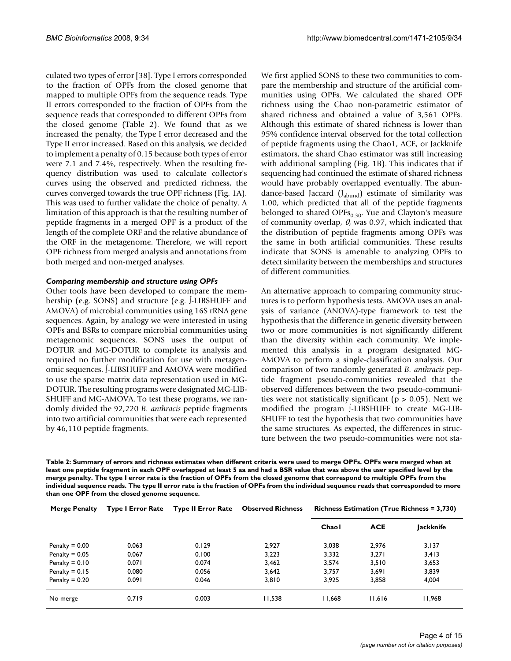culated two types of error [38]. Type I errors corresponded to the fraction of OPFs from the closed genome that mapped to multiple OPFs from the sequence reads. Type II errors corresponded to the fraction of OPFs from the sequence reads that corresponded to different OPFs from the closed genome (Table 2). We found that as we increased the penalty, the Type I error decreased and the Type II error increased. Based on this analysis, we decided to implement a penalty of 0.15 because both types of error were 7.1 and 7.4%, respectively. When the resulting frequency distribution was used to calculate collector's curves using the observed and predicted richness, the curves converged towards the true OPF richness (Fig. 1A). This was used to further validate the choice of penalty. A limitation of this approach is that the resulting number of peptide fragments in a merged OPF is a product of the length of the complete ORF and the relative abundance of the ORF in the metagenome. Therefore, we will report OPF richness from merged analysis and annotations from both merged and non-merged analyses.

# *Comparing membership and structure using OPFs*

Other tools have been developed to compare the membership (e.g. SONS) and structure (e.g. ∫-LIBSHUFF and AMOVA) of microbial communities using 16S rRNA gene sequences. Again, by analogy we were interested in using OPFs and BSRs to compare microbial communities using metagenomic sequences. SONS uses the output of DOTUR and MG-DOTUR to complete its analysis and required no further modification for use with metagenomic sequences. ∫-LIBSHUFF and AMOVA were modified to use the sparse matrix data representation used in MG-DOTUR. The resulting programs were designated MG-LIB-SHUFF and MG-AMOVA. To test these programs, we randomly divided the 92,220 *B. anthracis* peptide fragments into two artificial communities that were each represented by 46,110 peptide fragments.

We first applied SONS to these two communities to compare the membership and structure of the artificial communities using OPFs. We calculated the shared OPF richness using the Chao non-parametric estimator of shared richness and obtained a value of 3,561 OPFs. Although this estimate of shared richness is lower than 95% confidence interval observed for the total collection of peptide fragments using the Chao1, ACE, or Jackknife estimators, the shard Chao estimator was still increasing with additional sampling (Fig. 1B). This indicates that if sequencing had continued the estimate of shared richness would have probably overlapped eventually. The abundance-based Jaccard  $(J_{\text{abund}})$  estimate of similarity was 1.00, which predicted that all of the peptide fragments belonged to shared OPFs<sub>0.30</sub>. Yue and Clayton's measure of community overlap,  $\theta$ , was 0.97, which indicated that the distribution of peptide fragments among OPFs was the same in both artificial communities. These results indicate that SONS is amenable to analyzing OPFs to detect similarity between the memberships and structures of different communities.

An alternative approach to comparing community structures is to perform hypothesis tests. AMOVA uses an analysis of variance (ANOVA)-type framework to test the hypothesis that the difference in genetic diversity between two or more communities is not significantly different than the diversity within each community. We implemented this analysis in a program designated MG-AMOVA to perform a single-classification analysis. Our comparison of two randomly generated *B. anthracis* peptide fragment pseudo-communities revealed that the observed differences between the two pseudo-communities were not statistically significant ( $p > 0.05$ ). Next we modified the program ∫-LIBSHUFF to create MG-LIB-SHUFF to test the hypothesis that two communities have the same structures. As expected, the differences in structure between the two pseudo-communities were not sta-

**Table 2: Summary of errors and richness estimates when different criteria were used to merge OPFs. OPFs were merged when at least one peptide fragment in each OPF overlapped at least 5 aa and had a BSR value that was above the user specified level by the merge penalty. The type I error rate is the fraction of OPFs from the closed genome that correspond to multiple OPFs from the individual sequence reads. The type II error rate is the fraction of OPFs from the individual sequence reads that corresponded to more than one OPF from the closed genome sequence.**

| <b>Merge Penalty</b> | <b>Type I Error Rate</b> | <b>Type II Error Rate</b> | <b>Observed Richness</b> | <b>Richness Estimation (True Richness = 3,730)</b> |            |           |
|----------------------|--------------------------|---------------------------|--------------------------|----------------------------------------------------|------------|-----------|
|                      |                          |                           |                          | Chaol                                              | <b>ACE</b> | Jackknife |
| Penalty = $0.00$     | 0.063                    | 0.129                     | 2.927                    | 3.038                                              | 2.976      | 3,137     |
| Penalty = $0.05$     | 0.067                    | 0.100                     | 3.223                    | 3.332                                              | 3.271      | 3,413     |
| Penalty = $0.10$     | 0.071                    | 0.074                     | 3.462                    | 3.574                                              | 3,510      | 3,653     |
| Penalty = $0.15$     | 0.080                    | 0.056                     | 3.642                    | 3.757                                              | 3,691      | 3,839     |
| Penalty = $0.20$     | 0.091                    | 0.046                     | 3.810                    | 3.925                                              | 3,858      | 4,004     |
| No merge             | 0.719                    | 0.003                     | 11.538                   | 11.668                                             | 11.616     | 11,968    |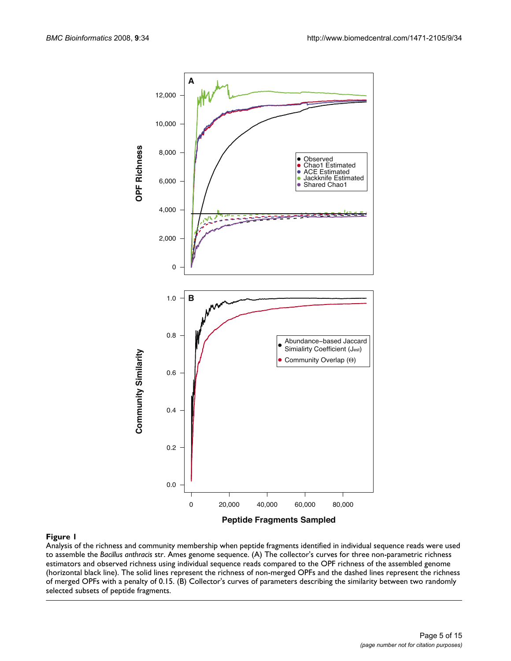

Analysis of the richness and community membership when peptide fragments identified in individual sequence reads were used to assemble the *Bacillus anthracis* str. Ames genome sequence. (A) The collector's curves for three non-parametric richness estimators and observed richness using individual sequence reads compared to the OPF richness of the assembled genome (horizontal black line). The solid lines represent the richness of non-merged OPFs and the dashed lines represent the richness of merged OPFs with a penalty of 0.15. (B) Collector's curves of parameters describing the similarity between two randomly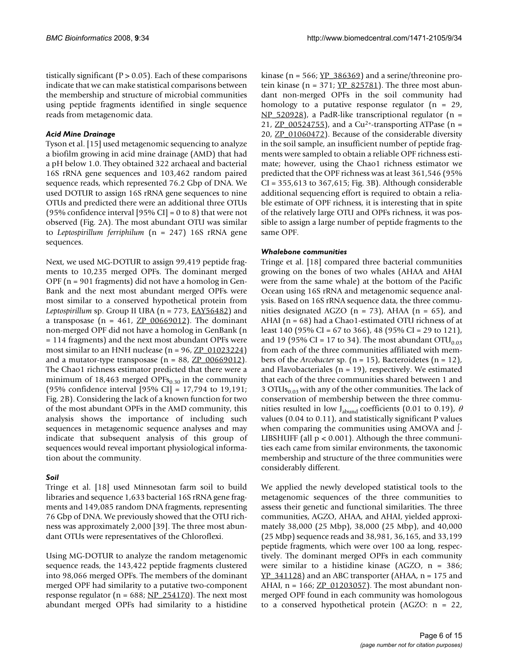tistically significant ( $P > 0.05$ ). Each of these comparisons indicate that we can make statistical comparisons between the membership and structure of microbial communities using peptide fragments identified in single sequence reads from metagenomic data.

# *Acid Mine Drainage*

Tyson et al. [15] used metagenomic sequencing to analyze a biofilm growing in acid mine drainage (AMD) that had a pH below 1.0. They obtained 322 archaeal and bacterial 16S rRNA gene sequences and 103,462 random paired sequence reads, which represented 76.2 Gbp of DNA. We used DOTUR to assign 16S rRNA gene sequences to nine OTUs and predicted there were an additional three OTUs (95% confidence interval [95% CI] = 0 to 8) that were not observed (Fig. 2A). The most abundant OTU was similar to *Leptospirillum ferriphilum* (n = 247) 16S rRNA gene sequences.

Next, we used MG-DOTUR to assign 99,419 peptide fragments to 10,235 merged OPFs. The dominant merged OPF (n = 901 fragments) did not have a homolog in Gen-Bank and the next most abundant merged OPFs' were most similar to a conserved hypothetical protein from *Leptospirillum* sp. Group II UBA (n = 773, [EAY56482\)](http://www.ncbi.nih.gov/entrez/query.fcgi?db=Nucleotide&cmd=search&term=EAY56482) and a transposase ( $n = 461$ ,  $ZP_00669012$ ). The dominant non-merged OPF did not have a homolog in GenBank (n = 114 fragments) and the next most abundant OPFs were most similar to an HNH nuclease  $(n = 96, ZP_01023224)$  $(n = 96, ZP_01023224)$  $(n = 96, ZP_01023224)$ and a mutator-type transposase ( $n = 88$ ,  $ZP_00669012$ ). The Chao1 richness estimator predicted that there were a minimum of 18,463 merged OPFs $_{0.30}$  in the community (95% confidence interval [95% CI] = 17,794 to 19,191; Fig. 2B). Considering the lack of a known function for two of the most abundant OPFs in the AMD community, this analysis shows the importance of including such sequences in metagenomic sequence analyses and may indicate that subsequent analysis of this group of sequences would reveal important physiological information about the community.

# *Soil*

Tringe et al. [18] used Minnesotan farm soil to build libraries and sequence 1,633 bacterial 16S rRNA gene fragments and 149,085 random DNA fragments, representing 76 Gbp of DNA. We previously showed that the OTU richness was approximately 2,000 [39]. The three most abundant OTUs were representatives of the Chloroflexi.

Using MG-DOTUR to analyze the random metagenomic sequence reads, the 143,422 peptide fragments clustered into 98,066 merged OPFs. The members of the dominant merged OPF had similarity to a putative two-component response regulator ( $n = 688$ ;  $NP_254170$ ). The next most abundant merged OPFs had similarity to a histidine kinase (n = 566;  $YP 386369$ ) and a serine/threonine pro-</u> tein kinase (n = 371;  $YP$  825781). The three most abundant non-merged OPFs in the soil community had homology to a putative response regulator  $(n = 29,$  $NP$  520928), a PadR-like transcriptional regulator (n = 21,  $ZP$  00524755), and a Cu<sup>2+</sup>-transporting ATPase (n = 20, [ZP\\_01060472\)](http://www.ncbi.nih.gov/entrez/query.fcgi?db=Nucleotide&cmd=search&term=ZP_01060472). Because of the considerable diversity in the soil sample, an insufficient number of peptide fragments were sampled to obtain a reliable OPF richness estimate; however, using the Chao1 richness estimator we predicted that the OPF richness was at least 361,546 (95% CI = 355,613 to 367,615; Fig. 3B). Although considerable additional sequencing effort is required to obtain a reliable estimate of OPF richness, it is interesting that in spite of the relatively large OTU and OPFs richness, it was possible to assign a large number of peptide fragments to the same OPF.

# *Whalebone communities*

Tringe et al. [18] compared three bacterial communities growing on the bones of two whales (AHAA and AHAI were from the same whale) at the bottom of the Pacific Ocean using 16S rRNA and metagenomic sequence analysis. Based on 16S rRNA sequence data, the three communities designated AGZO ( $n = 73$ ), AHAA ( $n = 65$ ), and AHAI  $(n = 68)$  had a Chao1-estimated OTU richness of at least 140 (95% CI = 67 to 366), 48 (95% CI = 29 to 121), and 19 (95% CI = 17 to 34). The most abundant OTU<sub>0.03</sub> from each of the three communities affiliated with members of the *Arcobacter* sp. (n = 15), Bacteroidetes (n = 12), and Flavobacteriales  $(n = 19)$ , respectively. We estimated that each of the three communities shared between 1 and 3 OTUs<sub>0.03</sub> with any of the other communities. The lack of conservation of membership between the three communities resulted in low J<sub>abund</sub> coefficients (0.01 to 0.19),  $\theta$ values (0.04 to 0.11), and statistically significant P values when comparing the communities using AMOVA and ∫- LIBSHUFF (all  $p < 0.001$ ). Although the three communities each came from similar environments, the taxonomic membership and structure of the three communities were considerably different.

We applied the newly developed statistical tools to the metagenomic sequences of the three communities to assess their genetic and functional similarities. The three communities, AGZO, AHAA, and AHAI, yielded approximately 38,000 (25 Mbp), 38,000 (25 Mbp), and 40,000 (25 Mbp) sequence reads and 38,981, 36,165, and 33,199 peptide fragments, which were over 100 aa long, respectively. The dominant merged OPFs in each community were similar to a histidine kinase (AGZO, n = 386;  $YP_341128$  and an ABC transporter (AHAA, n = 175 and</u> AHAI,  $n = 166$ ;  $ZP_01203057$ . The most abundant nonmerged OPF found in each community was homologous to a conserved hypothetical protein (AGZO: n = 22,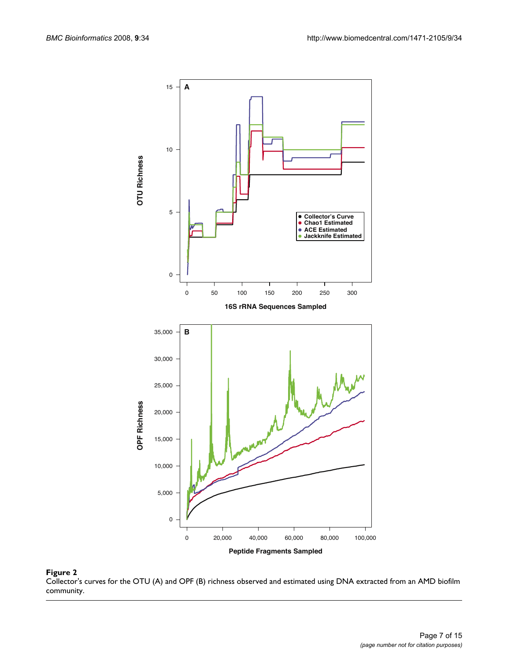

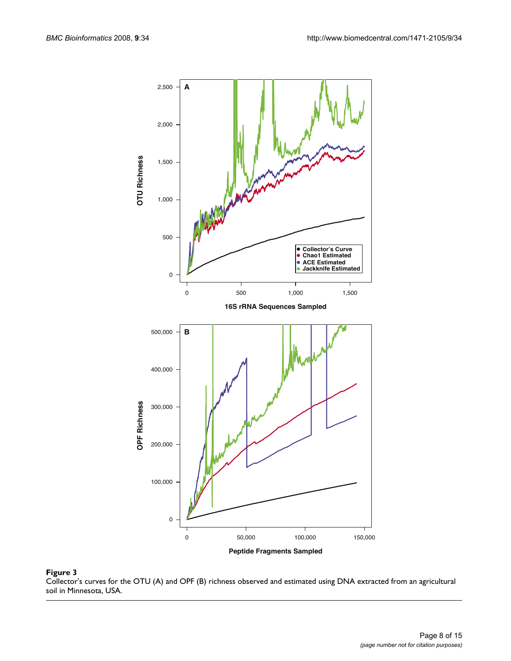

Collector's curves for the OTU (A) and OPF (B) richness observed and estimated using DNA extracted from an agricultural soil in Minnesota, USA.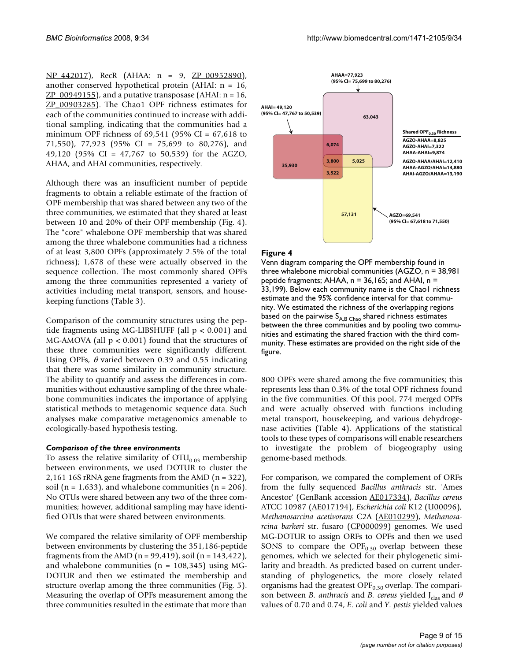[NP\\_442017\)](http://www.ncbi.nih.gov/entrez/query.fcgi?db=Nucleotide&cmd=search&term=NP_442017), RecR (AHAA: n = 9, <u>ZP\_00952890</u>), another conserved hypothetical protein (AHAI:  $n = 16$ ,  $ZP$  00949155), and a putative transposase (AHAI: n = 16, [ZP\\_00903285\)](http://www.ncbi.nih.gov/entrez/query.fcgi?db=Nucleotide&cmd=search&term=ZP_00903285). The Chao1 OPF richness estimates for each of the communities continued to increase with additional sampling, indicating that the communities had a minimum OPF richness of  $69,541$  (95% CI =  $67,618$  to 71,550), 77,923 (95% CI = 75,699 to 80,276), and 49,120 (95% CI = 47,767 to 50,539) for the AGZO, AHAA, and AHAI communities, respectively.

Although there was an insufficient number of peptide fragments to obtain a reliable estimate of the fraction of OPF membership that was shared between any two of the three communities, we estimated that they shared at least between 10 and 20% of their OPF membership (Fig. 4). The "core" whalebone OPF membership that was shared among the three whalebone communities had a richness of at least 3,800 OPFs (approximately 2.5% of the total richness); 1,678 of these were actually observed in the sequence collection. The most commonly shared OPFs among the three communities represented a variety of activities including metal transport, sensors, and housekeeping functions (Table 3).

Comparison of the community structures using the peptide fragments using MG-LIBSHUFF (all  $p < 0.001$ ) and MG-AMOVA (all  $p < 0.001$ ) found that the structures of these three communities were significantly different. Using OPFs,  $\theta$  varied between 0.39 and 0.55 indicating that there was some similarity in community structure. The ability to quantify and assess the differences in communities without exhaustive sampling of the three whalebone communities indicates the importance of applying statistical methods to metagenomic sequence data. Such analyses make comparative metagenomics amenable to ecologically-based hypothesis testing.

# *Comparison of the three environments*

To assess the relative similarity of  $\text{OTU}_{0.03}$  membership between environments, we used DOTUR to cluster the 2,161 16S rRNA gene fragments from the AMD (n = 322), soil (n = 1,633), and whalebone communities (n = 206). No OTUs were shared between any two of the three communities; however, additional sampling may have identified OTUs that were shared between environments.

We compared the relative similarity of OPF membership between environments by clustering the 351,186-peptide fragments from the AMD ( $n = 99,419$ ), soil ( $n = 143,422$ ), and whalebone communities  $(n = 108,345)$  using MG-DOTUR and then we estimated the membership and structure overlap among the three communities (Fig. 5). Measuring the overlap of OPFs measurement among the three communities resulted in the estimate that more than



# Figure 4

Venn diagram comparing the OPF membership found in three whalebone microbial communities (AGZO, n = 38,981 peptide fragments;  $AHAA$ ,  $n = 36,165$ ; and  $AHAI$ ,  $n =$ 33,199). Below each community name is the Chao1 richness estimate and the 95% confidence interval for that community. We estimated the richness of the overlapping regions based on the pairwise  $S_{A,B \text{ Chao}}$  shared richness estimates between the three communities and by pooling two communities and estimating the shared fraction with the third community. These estimates are provided on the right side of the figure.

800 OPFs were shared among the five communities; this represents less than 0.3% of the total OPF richness found in the five communities. Of this pool, 774 merged OPFs and were actually observed with functions including metal transport, housekeeping, and various dehydrogenase activities (Table 4). Applications of the statistical tools to these types of comparisons will enable researchers to investigate the problem of biogeography using genome-based methods.

For comparison, we compared the complement of ORFs from the fully sequenced *Bacillus anthracis* str. 'Ames Ancestor' (GenBank accession [AE017334](http://www.ncbi.nih.gov/entrez/query.fcgi?db=Nucleotide&cmd=search&term=AE017334)), *Bacillus cereus* ATCC 10987 ([AE017194\)](http://www.ncbi.nih.gov/entrez/query.fcgi?db=Nucleotide&cmd=search&term=AE017194), *Escherichia coli* K12 ([U00096](http://www.ncbi.nih.gov/entrez/query.fcgi?db=Nucleotide&cmd=search&term=U00096))*, Methanosarcina acetivorans* C2A ([AE010299\)](http://www.ncbi.nih.gov/entrez/query.fcgi?db=Nucleotide&cmd=search&term=AE010299), *Methanosarcina barkeri* str. fusaro ([CP000099\)](http://www.ncbi.nih.gov/entrez/query.fcgi?db=Nucleotide&cmd=search&term=CP000099) genomes. We used MG-DOTUR to assign ORFs to OPFs and then we used SONS to compare the OP $F_{0.30}$  overlap between these genomes, which we selected for their phylogenetic similarity and breadth. As predicted based on current understanding of phylogenetics, the more closely related organisms had the greatest  $\text{OPF}_{0.30}$  overlap. The comparison between *B. anthracis* and *B. cereus* yielded J<sub>clas</sub> and *θ* values of 0.70 and 0.74, *E. coli* and *Y. pestis* yielded values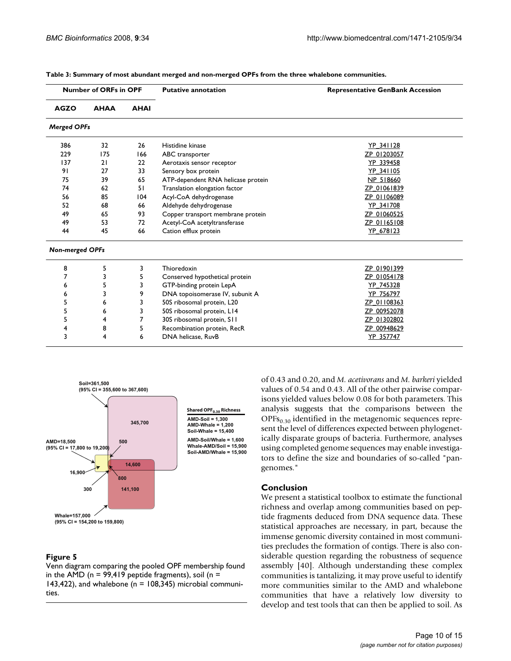| <b>Number of ORFs in OPF</b> |             |             | <b>Putative annotation</b>         | <b>Representative GenBank Accession</b> |  |  |
|------------------------------|-------------|-------------|------------------------------------|-----------------------------------------|--|--|
| <b>AGZO</b>                  | <b>AHAA</b> | <b>AHAI</b> |                                    |                                         |  |  |
| <b>Merged OPFs</b>           |             |             |                                    |                                         |  |  |
| 386                          | 32          | 26          | Histidine kinase                   | YP 341128                               |  |  |
| 229                          | 175         | 166         | ABC transporter                    | ZP 01203057                             |  |  |
| 137                          | 21          | 22          | Aerotaxis sensor receptor          | YP 339458                               |  |  |
| 91                           | 27          | 33          | Sensory box protein                | YP 341105                               |  |  |
| 75                           | 39          | 65          | ATP-dependent RNA helicase protein | NP 518660                               |  |  |
| 74                           | 62          | 51          | Translation elongation factor      | ZP 01061839                             |  |  |
| 56                           | 85          | 104         | Acyl-CoA dehydrogenase             | ZP 01106089                             |  |  |
| 52                           | 68          | 66          | Aldehyde dehydrogenase             | YP 341708                               |  |  |
| 49                           | 65          | 93          | Copper transport membrane protein  | ZP 01060525                             |  |  |
| 49                           | 53          | 72          | Acetyl-CoA acetyltransferase       | ZP 01165108                             |  |  |
| 44                           | 45          | 66          | Cation efflux protein              | YP 678123                               |  |  |
| <b>Non-merged OPFs</b>       |             |             |                                    |                                         |  |  |
| 8                            | 5           | 3           | Thioredoxin                        | ZP 01901399                             |  |  |
| 7                            |             | 5           | Conserved hypothetical protein     | ZP 01054178                             |  |  |
| 6                            | 5           | 3           | GTP-binding protein LepA           | YP 745328                               |  |  |
| 6                            | 3           | 9           | DNA topoisomerase IV, subunit A    | YP 756797                               |  |  |
| 5                            | 6           | 3           | 50S ribosomal protein, L20         | ZP 01108363                             |  |  |
| 5                            | 6           | 3           | 50S ribosomal protein, L14         | ZP 00952078                             |  |  |
| 5                            | 4           |             | 30S ribosomal protein, S11         | ZP 01302802                             |  |  |
| 4                            | 8           | 5           | Recombination protein, RecR        | ZP 00948629                             |  |  |
| 3                            | 4           | 6           | DNA helicase, RuvB                 | YP 357747                               |  |  |

**Table 3: Summary of most abundant merged and non-merged OPFs from the three whalebone communities.**



#### Figure 5

Venn diagram comparing the pooled OPF membership found in the AMD ( $n = 99,419$  peptide fragments), soil ( $n =$ 143,422), and whalebone (n = 108,345) microbial communities.

of 0.43 and 0.20, and *M. acetivorans* and *M. barkeri* yielded values of 0.54 and 0.43. All of the other pairwise comparisons yielded values below 0.08 for both parameters. This analysis suggests that the comparisons between the  $OPFs<sub>0.30</sub>$  identified in the metagenomic sequences represent the level of differences expected between phylogenetically disparate groups of bacteria. Furthermore, analyses using completed genome sequences may enable investigators to define the size and boundaries of so-called "pangenomes."

# **Conclusion**

We present a statistical toolbox to estimate the functional richness and overlap among communities based on peptide fragments deduced from DNA sequence data. These statistical approaches are necessary, in part, because the immense genomic diversity contained in most communities precludes the formation of contigs. There is also considerable question regarding the robustness of sequence assembly [40]. Although understanding these complex communities is tantalizing, it may prove useful to identify more communities similar to the AMD and whalebone communities that have a relatively low diversity to develop and test tools that can then be applied to soil. As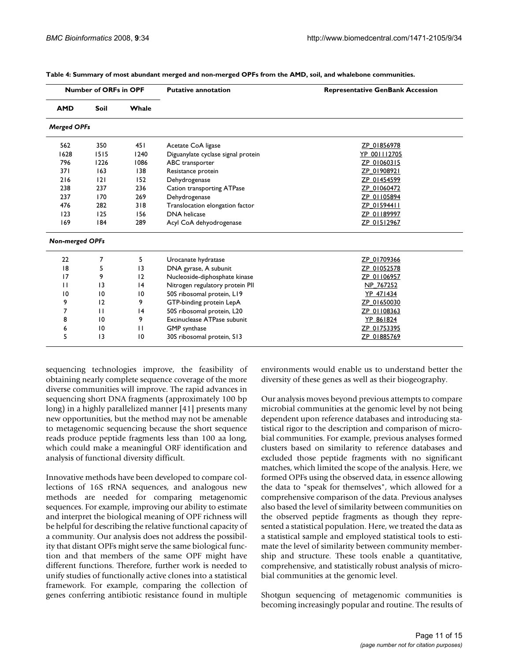| Number of ORFs in OPF  |                 |                 | <b>Putative annotation</b>         | <b>Representative GenBank Accession</b> |  |
|------------------------|-----------------|-----------------|------------------------------------|-----------------------------------------|--|
| <b>AMD</b>             | Soil            | Whale           |                                    |                                         |  |
| <b>Merged OPFs</b>     |                 |                 |                                    |                                         |  |
| 562                    | 350             | 451             | Acetate CoA ligase                 | ZP 01856978                             |  |
| 1628                   | 1515            | 1240            | Diguanylate cyclase signal protein | YP 001112705                            |  |
| 796                    | 1226            | 1086            | ABC transporter                    | ZP 01060315                             |  |
| 37 I                   | 163             | 138             | Resistance protein                 | ZP 0190892L                             |  |
| 216                    | 2               | 152             | Dehydrogenase                      | ZP 01454599                             |  |
| 238                    | 237             | 236             | Cation transporting ATPase         | ZP 01060472                             |  |
| 237                    | 170             | 269             | Dehydrogenase                      | ZP 01105894                             |  |
| 476                    | 282             | 318             | Translocation elongation factor    | ZP 01594411                             |  |
| 123                    | 125             | 156             | <b>DNA</b> helicase                | ZP 01189997                             |  |
| 169                    | 184             | 289             | Acyl CoA dehyodrogenase            | ZP 01512967                             |  |
| <b>Non-merged OPFs</b> |                 |                 |                                    |                                         |  |
| 22                     | 7               | 5.              | Urocanate hydratase                | ZP 01709366                             |  |
| 18                     | 5               | 13              | DNA gyrase, A subunit              | ZP 01052578                             |  |
| 17                     | 9               | 12              | Nucleoside-diphosphate kinase      | ZP 01106957                             |  |
| $\mathbf{H}$           | 13              | 4               | Nitrogen regulatory protein PII    | NP 767252                               |  |
| 10                     | 10              | $\overline{10}$ | 50S ribosomal protein, L19         | YP 471434                               |  |
| 9                      | 12              | 9               | GTP-binding protein LepA           | ZP 01650030                             |  |
| 7                      | $\mathbf{H}$    | 4               | 50S ribosomal protein, L20         | ZP 01108363                             |  |
| 8                      | $\overline{10}$ | 9               | Excinuclease ATPase subunit        | YP 861824                               |  |
| 6                      | $\overline{10}$ | $\mathbf{H}$    | GMP synthase                       | ZP 01753395                             |  |
| 5                      | $\overline{13}$ | $\overline{0}$  | 30S ribosomal protein, S13         | ZP 01885769                             |  |

**Table 4: Summary of most abundant merged and non-merged OPFs from the AMD, soil, and whalebone communities.**

sequencing technologies improve, the feasibility of obtaining nearly complete sequence coverage of the more diverse communities will improve. The rapid advances in sequencing short DNA fragments (approximately 100 bp long) in a highly parallelized manner [41] presents many new opportunities, but the method may not be amenable to metagenomic sequencing because the short sequence reads produce peptide fragments less than 100 aa long, which could make a meaningful ORF identification and analysis of functional diversity difficult.

Innovative methods have been developed to compare collections of 16S rRNA sequences, and analogous new methods are needed for comparing metagenomic sequences. For example, improving our ability to estimate and interpret the biological meaning of OPF richness will be helpful for describing the relative functional capacity of a community. Our analysis does not address the possibility that distant OPFs might serve the same biological function and that members of the same OPF might have different functions. Therefore, further work is needed to unify studies of functionally active clones into a statistical framework. For example, comparing the collection of genes conferring antibiotic resistance found in multiple environments would enable us to understand better the diversity of these genes as well as their biogeography.

Our analysis moves beyond previous attempts to compare microbial communities at the genomic level by not being dependent upon reference databases and introducing statistical rigor to the description and comparison of microbial communities. For example, previous analyses formed clusters based on similarity to reference databases and excluded those peptide fragments with no significant matches, which limited the scope of the analysis. Here, we formed OPFs using the observed data, in essence allowing the data to "speak for themselves", which allowed for a comprehensive comparison of the data. Previous analyses also based the level of similarity between communities on the observed peptide fragments as though they represented a statistical population. Here, we treated the data as a statistical sample and employed statistical tools to estimate the level of similarity between community membership and structure. These tools enable a quantitative, comprehensive, and statistically robust analysis of microbial communities at the genomic level.

Shotgun sequencing of metagenomic communities is becoming increasingly popular and routine. The results of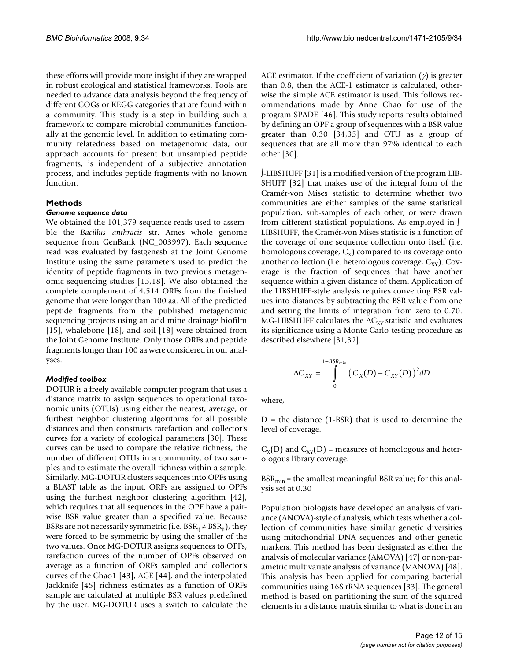these efforts will provide more insight if they are wrapped in robust ecological and statistical frameworks. Tools are needed to advance data analysis beyond the frequency of different COGs or KEGG categories that are found within a community. This study is a step in building such a framework to compare microbial communities functionally at the genomic level. In addition to estimating community relatedness based on metagenomic data, our approach accounts for present but unsampled peptide fragments, is independent of a subjective annotation process, and includes peptide fragments with no known function.

# **Methods**

### *Genome sequence data*

We obtained the 101,379 sequence reads used to assemble the *Bacillus anthracis* str. Ames whole genome sequence from GenBank ([NC\\_003997](http://www.ncbi.nih.gov/entrez/query.fcgi?db=Nucleotide&cmd=search&term=NC_003997)). Each sequence read was evaluated by fastgenesb at the Joint Genome Institute using the same parameters used to predict the identity of peptide fragments in two previous metagenomic sequencing studies [15,18]. We also obtained the complete complement of 4,514 ORFs from the finished genome that were longer than 100 aa. All of the predicted peptide fragments from the published metagenomic sequencing projects using an acid mine drainage biofilm [15], whalebone [18], and soil [18] were obtained from the Joint Genome Institute. Only those ORFs and peptide fragments longer than 100 aa were considered in our analyses.

### *Modified toolbox*

DOTUR is a freely available computer program that uses a distance matrix to assign sequences to operational taxonomic units (OTUs) using either the nearest, average, or furthest neighbor clustering algorithms for all possible distances and then constructs rarefaction and collector's curves for a variety of ecological parameters [30]. These curves can be used to compare the relative richness, the number of different OTUs in a community, of two samples and to estimate the overall richness within a sample. Similarly, MG-DOTUR clusters sequences into OPFs using a BLAST table as the input. ORFs are assigned to OPFs using the furthest neighbor clustering algorithm [42], which requires that all sequences in the OPF have a pairwise BSR value greater than a specified value. Because BSRs are not necessarily symmetric (i.e.  $BSR_{ij} \neq BSR_{ij}$ ), they were forced to be symmetric by using the smaller of the two values. Once MG-DOTUR assigns sequences to OPFs, rarefaction curves of the number of OPFs observed on average as a function of ORFs sampled and collector's curves of the Chao1 [43], ACE [44], and the interpolated Jackknife [45] richness estimates as a function of ORFs sample are calculated at multiple BSR values predefined by the user. MG-DOTUR uses a switch to calculate the ACE estimator. If the coefficient of variation  $(\gamma)$  is greater than 0.8, then the ACE-1 estimator is calculated, otherwise the simple ACE estimator is used. This follows recommendations made by Anne Chao for use of the program SPADE [46]. This study reports results obtained by defining an OPF a group of sequences with a BSR value greater than 0.30 [34,35] and OTU as a group of sequences that are all more than 97% identical to each other [30].

∫-LIBSHUFF [31] is a modified version of the program LIB-SHUFF [32] that makes use of the integral form of the Cramér-von Mises statistic to determine whether two communities are either samples of the same statistical population, sub-samples of each other, or were drawn from different statistical populations. As employed in ∫- LIBSHUFF, the Cramér-von Mises statistic is a function of the coverage of one sequence collection onto itself (i.e. homologous coverage,  $C_X$ ) compared to its coverage onto another collection (i.e. heterologous coverage,  $C_{XY}$ ). Coverage is the fraction of sequences that have another sequence within a given distance of them. Application of the LIBSHUFF-style analysis requires converting BSR values into distances by subtracting the BSR value from one and setting the limits of integration from zero to 0.70. MG-LIBSHUFF calculates the ∆C<sub>XY</sub> statistic and evaluates its significance using a Monte Carlo testing procedure as described elsewhere [31,32].

$$
\Delta C_{XY} = \int_{0}^{1-BSR_{\min}} \left( C_X(D) - C_{XY}(D) \right)^2 dD
$$

where,

 $D =$  the distance (1-BSR) that is used to determine the level of coverage.

 $C_X(D)$  and  $C_{XY}(D)$  = measures of homologous and heterologous library coverage.

 $BSR<sub>min</sub>$  = the smallest meaningful BSR value; for this analysis set at 0.30

Population biologists have developed an analysis of variance (ANOVA)-style of analysis, which tests whether a collection of communities have similar genetic diversities using mitochondrial DNA sequences and other genetic markers. This method has been designated as either the analysis of molecular variance (AMOVA) [47] or non-parametric multivariate analysis of variance (MANOVA) [48]. This analysis has been applied for comparing bacterial communities using 16S rRNA sequences [33]. The general method is based on partitioning the sum of the squared elements in a distance matrix similar to what is done in an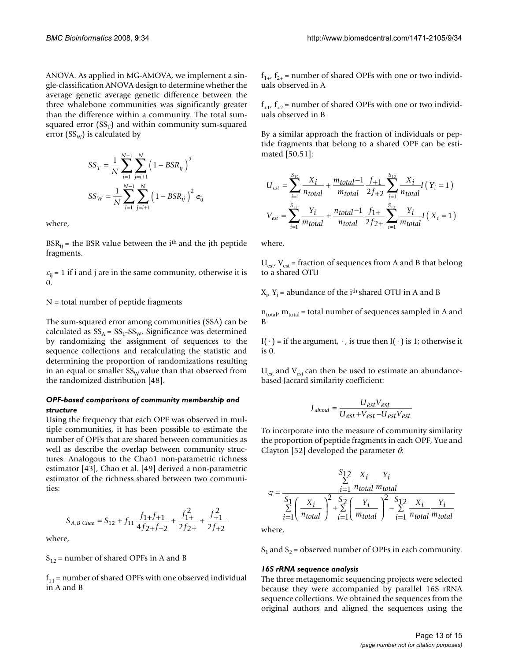ANOVA. As applied in MG-AMOVA, we implement a single-classification ANOVA design to determine whether the average genetic average genetic difference between the three whalebone communities was significantly greater than the difference within a community. The total sumsquared error  $(SS_T)$  and within community sum-squared error ( $SS<sub>W</sub>$ ) is calculated by

$$
SS_T = \frac{1}{N} \sum_{i=1}^{N-1} \sum_{j=i+1}^{N} \left(1 - BSR_{ij}\right)^2
$$
  

$$
SS_W = \frac{1}{N} \sum_{i=1}^{N-1} \sum_{j=i+1}^{N} \left(1 - BSR_{ij}\right)^2 e_{ij}
$$

where,

 $BSR_{ii}$  = the BSR value between the i<sup>th</sup> and the jth peptide fragments.

 $\varepsilon_{ij}$  = 1 if i and j are in the same community, otherwise it is  $\Omega$ .

### N = total number of peptide fragments

The sum-squared error among communities (SSA) can be calculated as  $SS_A = SS_T-SS_W$ . Significance was determined by randomizing the assignment of sequences to the sequence collections and recalculating the statistic and determining the proportion of randomizations resulting in an equal or smaller  $SS_W$  value than that observed from the randomized distribution [48].

# *OPF-based comparisons of community membership and structure*

Using the frequency that each OPF was observed in multiple communities, it has been possible to estimate the number of OPFs that are shared between communities as well as describe the overlap between community structures. Analogous to the Chao1 non-parametric richness estimator [43], Chao et al. [49] derived a non-parametric estimator of the richness shared between two communities:

$$
S_{A,B \; Chao} = S_{12} + f_{11} \frac{f_{1+}f_{+1}}{4f_{2+}f_{+2}} + \frac{f_{1+}^2}{2f_{2+}} + \frac{f_{+1}^2}{2f_{+2}}
$$

where,

 $S_{12}$  = number of shared OPFs in A and B

 $f_{11}$  = number of shared OPFs with one observed individual in A and B

 $f_{1+}$ ,  $f_{2+}$  = number of shared OPFs with one or two individuals observed in A

 $f_{+1}$ ,  $f_{+2}$  = number of shared OPFs with one or two individuals observed in B

By a similar approach the fraction of individuals or peptide fragments that belong to a shared OPF can be estimated [50,51]:

$$
U_{est} = \sum_{i=1}^{S_{12}} \frac{X_i}{n_{total}} + \frac{m_{total}-1}{m_{total}} \frac{f_{+1}}{2f_{+2}} \sum_{i=1}^{S_{12}} \frac{X_i}{n_{total}} I(Y_i = 1)
$$
  

$$
V_{est} = \sum_{i=1}^{S_{12}} \frac{Y_i}{m_{total}} + \frac{n_{total}-1}{n_{total}} \frac{f_{1+1}}{2f_{2+}} \sum_{i=1}^{S_{12}} \frac{Y_i}{m_{total}} I(X_i = 1)
$$

where,

 $U_{est}$ ,  $V_{est}$  = fraction of sequences from A and B that belong to a shared OTU

 $X_i$ ,  $Y_i$  = abundance of the i<sup>th</sup> shared OTU in A and B

 $n_{\text{total}}$ ,  $m_{\text{total}}$  = total number of sequences sampled in A and B

I( $\cdot$ ) = if the argument,  $\cdot$ , is true then I( $\cdot$ ) is 1; otherwise it is 0.

 $U_{\text{est}}$  and  $V_{\text{est}}$  can then be used to estimate an abundancebased Jaccard similarity coefficient:

$$
J_{abund} = \frac{U_{est}V_{est}}{U_{est}+V_{est}-U_{est}V_{est}}
$$

To incorporate into the measure of community similarity the proportion of peptide fragments in each OPF, Yue and Clayton [52] developed the parameter  $\theta$ :

$$
q = \frac{\sum_{i=1}^{S_1} \frac{X_i}{n_{total}} \frac{Y_i}{m_{total}}}{\sum_{i=1}^{S_1} \left(\frac{X_i}{n_{total}}\right)^2 + \sum_{i=1}^{S_2} \left(\frac{Y_i}{m_{total}}\right)^2 - \sum_{i=1}^{S_1 2} \frac{X_i}{n_{total}} \frac{Y_i}{m_{total}}
$$

where,

 $S_1$  and  $S_2$  = observed number of OPFs in each community.

#### *16S rRNA sequence analysis*

The three metagenomic sequencing projects were selected because they were accompanied by parallel 16S rRNA sequence collections. We obtained the sequences from the original authors and aligned the sequences using the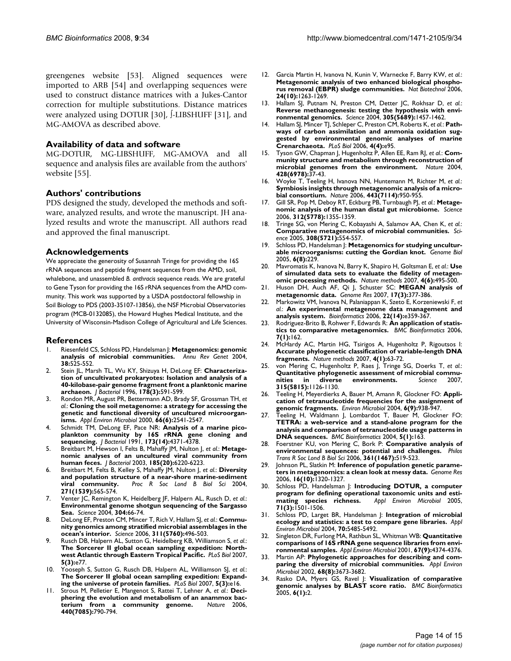greengenes website [53]. Aligned sequences were imported to ARB [54] and overlapping sequences were used to construct distance matrices with a Jukes-Cantor correction for multiple substitutions. Distance matrices were analyzed using DOTUR [30], ∫-LIBSHUFF [31], and MG-AMOVA as described above.

### **Availability of data and software**

MG-DOTUR, MG-LIBSHUFF, MG-AMOVA and all sequence and analysis files are available from the authors' website [55].

# **Authors' contributions**

PDS designed the study, developed the methods and software, analyzed results, and wrote the manuscript. JH analyzed results and wrote the manuscript. All authors read and approved the final manuscript.

### **Acknowledgements**

We appreciate the generosity of Susannah Tringe for providing the 16S rRNA sequences and peptide fragment sequences from the AMD, soil, whalebone, and unassembled *B. anthracis* sequence reads. We are grateful to Gene Tyson for providing the 16S rRNA sequences from the AMD community. This work was supported by a USDA postdoctoral fellowship in Soil Biology to PDS (2003-35107-13856), the NSF Microbial Observatories program (MCB-0132085), the Howard Hughes Medical Institute, and the University of Wisconsin-Madison College of Agricultural and Life Sciences.

### **References**

- 1. Riesenfeld CS, Schloss PD, Handelsman J: **[Metagenomics: genomic](http://www.ncbi.nlm.nih.gov/entrez/query.fcgi?cmd=Retrieve&db=PubMed&dopt=Abstract&list_uids=15568985) [analysis of microbial communities.](http://www.ncbi.nlm.nih.gov/entrez/query.fcgi?cmd=Retrieve&db=PubMed&dopt=Abstract&list_uids=15568985)** *Annu Rev Genet* 2004, **38:**525-552.
- 2. Stein JL, Marsh TL, Wu KY, Shizuya H, DeLong EF: **[Characteriza](http://www.ncbi.nlm.nih.gov/entrez/query.fcgi?cmd=Retrieve&db=PubMed&dopt=Abstract&list_uids=8550487)tion of uncultivated prokaryotes: Isolation and analysis of a [40-kilobase-pair genome fragment front a planktonic marine](http://www.ncbi.nlm.nih.gov/entrez/query.fcgi?cmd=Retrieve&db=PubMed&dopt=Abstract&list_uids=8550487) [archaeon.](http://www.ncbi.nlm.nih.gov/entrez/query.fcgi?cmd=Retrieve&db=PubMed&dopt=Abstract&list_uids=8550487)** *J Bacteriol* 1996, **178(3):**591-599.
- 3. Rondon MR, August PR, Bettermann AD, Brady SF, Grossman TH, *et al.*: **[Cloning the soil metagenome: a strategy for accessing the](http://www.ncbi.nlm.nih.gov/entrez/query.fcgi?cmd=Retrieve&db=PubMed&dopt=Abstract&list_uids=10831436) [genetic and functional diversity of uncultured microorgan](http://www.ncbi.nlm.nih.gov/entrez/query.fcgi?cmd=Retrieve&db=PubMed&dopt=Abstract&list_uids=10831436)[isms.](http://www.ncbi.nlm.nih.gov/entrez/query.fcgi?cmd=Retrieve&db=PubMed&dopt=Abstract&list_uids=10831436)** *Appl Environ Microbiol* 2000, **66(6):**2541-2547.
- Schmidt TM, DeLong EF, Pace NR: **[Analysis of a marine pico](http://www.ncbi.nlm.nih.gov/entrez/query.fcgi?cmd=Retrieve&db=PubMed&dopt=Abstract&list_uids=2066334)[plankton community by 16S rRNA gene cloning and](http://www.ncbi.nlm.nih.gov/entrez/query.fcgi?cmd=Retrieve&db=PubMed&dopt=Abstract&list_uids=2066334) [sequencing.](http://www.ncbi.nlm.nih.gov/entrez/query.fcgi?cmd=Retrieve&db=PubMed&dopt=Abstract&list_uids=2066334)** *J Bacteriol* 1991, **173(14):**4371-4378.
- 5. Breitbart M, Hewson I, Felts B, Mahaffy JM, Nulton J, *et al.*: **[Metage](http://www.ncbi.nlm.nih.gov/entrez/query.fcgi?cmd=Retrieve&db=PubMed&dopt=Abstract&list_uids=14526037)[nomic analyses of an uncultured viral community from](http://www.ncbi.nlm.nih.gov/entrez/query.fcgi?cmd=Retrieve&db=PubMed&dopt=Abstract&list_uids=14526037) [human feces.](http://www.ncbi.nlm.nih.gov/entrez/query.fcgi?cmd=Retrieve&db=PubMed&dopt=Abstract&list_uids=14526037)** *J Bacteriol* 2003, **185(20):**6220-6223.
- 6. Breitbart M, Felts B, Kelley S, Mahaffy JM, Nulton J, *et al.*: **Diversity and population structure of a near-shore marine-sediment viral community.** *Proc R Soc Lond B Biol Sci* 2004, **271(1539):**565-574.
- 7. Venter JC, Remington K, Heidelberg JF, Halpern AL, Rusch D, *et al.*: **[Environmental genome shotgun sequencing of the Sargasso](http://www.ncbi.nlm.nih.gov/entrez/query.fcgi?cmd=Retrieve&db=PubMed&dopt=Abstract&list_uids=15001713) [Sea.](http://www.ncbi.nlm.nih.gov/entrez/query.fcgi?cmd=Retrieve&db=PubMed&dopt=Abstract&list_uids=15001713)** *Science* 2004, **304:**66-74.
- 8. DeLong EF, Preston CM, Mincer T, Rich V, Hallam SJ, et al.: **[Commu](http://www.ncbi.nlm.nih.gov/entrez/query.fcgi?cmd=Retrieve&db=PubMed&dopt=Abstract&list_uids=16439655)[nity genomics among stratified microbial assemblages in the](http://www.ncbi.nlm.nih.gov/entrez/query.fcgi?cmd=Retrieve&db=PubMed&dopt=Abstract&list_uids=16439655) [ocean's interior.](http://www.ncbi.nlm.nih.gov/entrez/query.fcgi?cmd=Retrieve&db=PubMed&dopt=Abstract&list_uids=16439655)** *Science* 2006, **311(5760):**496-503.
- 9. Rusch DB, Halpern AL, Sutton G, Heidelberg KB, Williamson S, *et al.*: **[The Sorcerer II global ocean sampling expedition: North](http://www.ncbi.nlm.nih.gov/entrez/query.fcgi?cmd=Retrieve&db=PubMed&dopt=Abstract&list_uids=17355176)[west Atlantic through Eastern Tropical Pacific.](http://www.ncbi.nlm.nih.gov/entrez/query.fcgi?cmd=Retrieve&db=PubMed&dopt=Abstract&list_uids=17355176)** *PLoS Biol* 2007, **5(3):**e77.
- 10. Yooseph S, Sutton G, Rusch DB, Halpern AL, Williamson SJ, *et al.*: **[The Sorcerer II global ocean sampling expedition: Expand](http://www.ncbi.nlm.nih.gov/entrez/query.fcgi?cmd=Retrieve&db=PubMed&dopt=Abstract&list_uids=17355171)[ing the universe of protein families.](http://www.ncbi.nlm.nih.gov/entrez/query.fcgi?cmd=Retrieve&db=PubMed&dopt=Abstract&list_uids=17355171)** *PLoS Biol* 2007, **5(3):**e16.
- 11. Strous M, Pelletier E, Mangenot S, Rattei T, Lehner A, *et al.*: **[Deci](http://www.ncbi.nlm.nih.gov/entrez/query.fcgi?cmd=Retrieve&db=PubMed&dopt=Abstract&list_uids=16598256)[phering the evolution and metabolism of an anammox bac](http://www.ncbi.nlm.nih.gov/entrez/query.fcgi?cmd=Retrieve&db=PubMed&dopt=Abstract&list_uids=16598256)**[terium from a community genome.](http://www.ncbi.nlm.nih.gov/entrez/query.fcgi?cmd=Retrieve&db=PubMed&dopt=Abstract&list_uids=16598256) **440(7085):**790-794.
- 12. Garcia Martin H, Ivanova N, Kunin V, Warnecke F, Barry KW, *et al.*: **[Metagenomic analysis of two enhanced biological phospho](http://www.ncbi.nlm.nih.gov/entrez/query.fcgi?cmd=Retrieve&db=PubMed&dopt=Abstract&list_uids=16998472)[rus removal \(EBPR\) sludge communities.](http://www.ncbi.nlm.nih.gov/entrez/query.fcgi?cmd=Retrieve&db=PubMed&dopt=Abstract&list_uids=16998472)** *Nat Biotechnol* 2006, **24(10):**1263-1269.
- 13. Hallam SJ, Putnam N, Preston CM, Detter JC, Rokhsar D, *et al.*: **[Reverse methanogenesis: testing the hypothesis with envi](http://www.ncbi.nlm.nih.gov/entrez/query.fcgi?cmd=Retrieve&db=PubMed&dopt=Abstract&list_uids=15353801)[ronmental genomics.](http://www.ncbi.nlm.nih.gov/entrez/query.fcgi?cmd=Retrieve&db=PubMed&dopt=Abstract&list_uids=15353801)** *Science* 2004, **305(5689):**1457-1462.
- 14. Hallam SJ, Mincer TJ, Schleper C, Preston CM, Roberts K, *et al.*: **[Path](http://www.ncbi.nlm.nih.gov/entrez/query.fcgi?cmd=Retrieve&db=PubMed&dopt=Abstract&list_uids=16533068)ways of carbon assimilation and ammonia oxidation sug[gested by environmental genomic analyses of marine](http://www.ncbi.nlm.nih.gov/entrez/query.fcgi?cmd=Retrieve&db=PubMed&dopt=Abstract&list_uids=16533068) [Crenarchaeota.](http://www.ncbi.nlm.nih.gov/entrez/query.fcgi?cmd=Retrieve&db=PubMed&dopt=Abstract&list_uids=16533068)** *PLoS Biol* 2006, **4(4):**e95.
- 15. Tyson GW, Chapman J, Hugenholtz P, Allen EE, Ram RJ, *et al.*: **[Com](http://www.ncbi.nlm.nih.gov/entrez/query.fcgi?cmd=Retrieve&db=PubMed&dopt=Abstract&list_uids=14961025)[munity structure and metabolism through reconstruction of](http://www.ncbi.nlm.nih.gov/entrez/query.fcgi?cmd=Retrieve&db=PubMed&dopt=Abstract&list_uids=14961025) [microbial genomes from the environment.](http://www.ncbi.nlm.nih.gov/entrez/query.fcgi?cmd=Retrieve&db=PubMed&dopt=Abstract&list_uids=14961025)** *Nature* 2004, **428(6978):**37-43.
- 16. Woyke T, Teeling H, Ivanova NN, Huntemann M, Richter M, *et al.*: **[Symbiosis insights through metagenomic analysis of a micro](http://www.ncbi.nlm.nih.gov/entrez/query.fcgi?cmd=Retrieve&db=PubMed&dopt=Abstract&list_uids=16980956)[bial consortium.](http://www.ncbi.nlm.nih.gov/entrez/query.fcgi?cmd=Retrieve&db=PubMed&dopt=Abstract&list_uids=16980956)** *Nature* 2006, **443(7114):**950-955.
- 17. Gill SR, Pop M, Deboy RT, Eckburg PB, Turnbaugh PJ, *et al.*: **[Metage](http://www.ncbi.nlm.nih.gov/entrez/query.fcgi?cmd=Retrieve&db=PubMed&dopt=Abstract&list_uids=16741115)[nomic analysis of the human distal gut microbiome.](http://www.ncbi.nlm.nih.gov/entrez/query.fcgi?cmd=Retrieve&db=PubMed&dopt=Abstract&list_uids=16741115)** *Science* 2006, **312(5778):**1355-1359.
- 18. Tringe SG, von Mering C, Kobayashi A, Salamov AA, Chen K, *et al.*: **[Comparative metagenomics of microbial communities.](http://www.ncbi.nlm.nih.gov/entrez/query.fcgi?cmd=Retrieve&db=PubMed&dopt=Abstract&list_uids=15845853)** *Science* 2005, **308(5721):**554-557.
- 19. Schloss PD, Handelsman J: **[Metagenomics for studying uncultur](http://www.ncbi.nlm.nih.gov/entrez/query.fcgi?cmd=Retrieve&db=PubMed&dopt=Abstract&list_uids=16086859)[able microorganisms: cutting the Gordian knot.](http://www.ncbi.nlm.nih.gov/entrez/query.fcgi?cmd=Retrieve&db=PubMed&dopt=Abstract&list_uids=16086859)** *Genome Biol* 2005, **6(8):**229.
- 20. Mavromatis K, Ivanova N, Barry K, Shapiro H, Goltsman E, *et al.*: **[Use](http://www.ncbi.nlm.nih.gov/entrez/query.fcgi?cmd=Retrieve&db=PubMed&dopt=Abstract&list_uids=17468765) [of simulated data sets to evaluate the fidelity of metagen](http://www.ncbi.nlm.nih.gov/entrez/query.fcgi?cmd=Retrieve&db=PubMed&dopt=Abstract&list_uids=17468765)[omic processing methods.](http://www.ncbi.nlm.nih.gov/entrez/query.fcgi?cmd=Retrieve&db=PubMed&dopt=Abstract&list_uids=17468765)** *Nature methods* 2007, **4(6):**495-500.
- 21. Huson DH, Auch AF, Qi J, Schuster SC: **[MEGAN analysis of](http://www.ncbi.nlm.nih.gov/entrez/query.fcgi?cmd=Retrieve&db=PubMed&dopt=Abstract&list_uids=17255551) [metagenomic data.](http://www.ncbi.nlm.nih.gov/entrez/query.fcgi?cmd=Retrieve&db=PubMed&dopt=Abstract&list_uids=17255551)** *Genome Res* 2007, **17(3):**377-386.
- 22. Markowitz VM, Ivanova N, Palaniappan K, Szeto E, Korzeniewski F, *et al.*: **[An experimental metagenome data management and](http://www.ncbi.nlm.nih.gov/entrez/query.fcgi?cmd=Retrieve&db=PubMed&dopt=Abstract&list_uids=16873494) [analysis system.](http://www.ncbi.nlm.nih.gov/entrez/query.fcgi?cmd=Retrieve&db=PubMed&dopt=Abstract&list_uids=16873494)** *Bioinformatics* 2006, **22(14):**e359-367.
- 23. Rodriguez-Brito B, Rohwer F, Edwards R: **[An application of statis](http://www.ncbi.nlm.nih.gov/entrez/query.fcgi?cmd=Retrieve&db=PubMed&dopt=Abstract&list_uids=16549025)[tics to comparative metagenomics.](http://www.ncbi.nlm.nih.gov/entrez/query.fcgi?cmd=Retrieve&db=PubMed&dopt=Abstract&list_uids=16549025)** *BMC Bioinformatics* 2006, **7(1):**162.
- 24. McHardy AC, Martin HG, Tsirigos A, Hugenholtz P, Rigoutsos I: **[Accurate phylogenetic classification of variable-length DNA](http://www.ncbi.nlm.nih.gov/entrez/query.fcgi?cmd=Retrieve&db=PubMed&dopt=Abstract&list_uids=17179938) [fragments.](http://www.ncbi.nlm.nih.gov/entrez/query.fcgi?cmd=Retrieve&db=PubMed&dopt=Abstract&list_uids=17179938)** *Nature methods* 2007, **4(1):**63-72.
- 25. von Mering C, Hugenholtz P, Raes J, Tringe SG, Doerks T, *et al.*: **[Quantitative phylogenetic assessment of microbial commu](http://www.ncbi.nlm.nih.gov/entrez/query.fcgi?cmd=Retrieve&db=PubMed&dopt=Abstract&list_uids=17272687)[nities in diverse environments.](http://www.ncbi.nlm.nih.gov/entrez/query.fcgi?cmd=Retrieve&db=PubMed&dopt=Abstract&list_uids=17272687)** *Science* 2007, **315(5815):**1126-1130.
- 26. Teeling H, Meyerdierks A, Bauer M, Amann R, Glockner FO: **[Appli](http://www.ncbi.nlm.nih.gov/entrez/query.fcgi?cmd=Retrieve&db=PubMed&dopt=Abstract&list_uids=15305919)[cation of tetranucleotide frequencies for the assignment of](http://www.ncbi.nlm.nih.gov/entrez/query.fcgi?cmd=Retrieve&db=PubMed&dopt=Abstract&list_uids=15305919) [genomic fragments.](http://www.ncbi.nlm.nih.gov/entrez/query.fcgi?cmd=Retrieve&db=PubMed&dopt=Abstract&list_uids=15305919)** *Environ Microbiol* 2004, **6(9):**938-947.
- 27. Teeling H, Waldmann J, Lombardot T, Bauer M, Glockner FO: **TETRA: a web-service and a stand-alone program for the [analysis and comparison of tetranucleotide usage patterns in](http://www.ncbi.nlm.nih.gov/entrez/query.fcgi?cmd=Retrieve&db=PubMed&dopt=Abstract&list_uids=15507136) [DNA sequences.](http://www.ncbi.nlm.nih.gov/entrez/query.fcgi?cmd=Retrieve&db=PubMed&dopt=Abstract&list_uids=15507136)** *BMC Bioinformatics* 2004, **5(1):**163.
- 28. Foerstner KU, von Mering C, Bork P: **[Comparative analysis of](http://www.ncbi.nlm.nih.gov/entrez/query.fcgi?cmd=Retrieve&db=PubMed&dopt=Abstract&list_uids=16524840) [environmental sequences: potential and challenges.](http://www.ncbi.nlm.nih.gov/entrez/query.fcgi?cmd=Retrieve&db=PubMed&dopt=Abstract&list_uids=16524840)** *Philos Trans R Soc Lond B Biol Sci* 2006, **361(1467):**519-523.
- 29. Johnson PL, Slatkin M: **[Inference of population genetic parame](http://www.ncbi.nlm.nih.gov/entrez/query.fcgi?cmd=Retrieve&db=PubMed&dopt=Abstract&list_uids=16954540)[ters in metagenomics: a clean look at messy data.](http://www.ncbi.nlm.nih.gov/entrez/query.fcgi?cmd=Retrieve&db=PubMed&dopt=Abstract&list_uids=16954540)** *Genome Res* 2006, **16(10):**1320-1327.
- 30. Schloss PD, Handelsman J: **[Introducing DOTUR, a computer](http://www.ncbi.nlm.nih.gov/entrez/query.fcgi?cmd=Retrieve&db=PubMed&dopt=Abstract&list_uids=15746353) [program for defining operational taxonomic units and esti](http://www.ncbi.nlm.nih.gov/entrez/query.fcgi?cmd=Retrieve&db=PubMed&dopt=Abstract&list_uids=15746353)[mating species richness.](http://www.ncbi.nlm.nih.gov/entrez/query.fcgi?cmd=Retrieve&db=PubMed&dopt=Abstract&list_uids=15746353)** *Appl Environ Microbiol* 2005, **71(3):**1501-1506.
- 31. Schloss PD, Larget BR, Handelsman J: **[Integration of microbial](http://www.ncbi.nlm.nih.gov/entrez/query.fcgi?cmd=Retrieve&db=PubMed&dopt=Abstract&list_uids=15345436) [ecology and statistics: a test to compare gene libraries.](http://www.ncbi.nlm.nih.gov/entrez/query.fcgi?cmd=Retrieve&db=PubMed&dopt=Abstract&list_uids=15345436)** *Appl Environ Microbiol* 2004, **70:**5485-5492.
- 32. Singleton DR, Furlong MA, Rathbun SL, Whitman WB: **[Quantitative](http://www.ncbi.nlm.nih.gov/entrez/query.fcgi?cmd=Retrieve&db=PubMed&dopt=Abstract&list_uids=11526051) [comparisons of 16S rRNA gene sequence libraries from envi](http://www.ncbi.nlm.nih.gov/entrez/query.fcgi?cmd=Retrieve&db=PubMed&dopt=Abstract&list_uids=11526051)[ronmental samples.](http://www.ncbi.nlm.nih.gov/entrez/query.fcgi?cmd=Retrieve&db=PubMed&dopt=Abstract&list_uids=11526051)** *Appl Environ Microbiol* 2001, **67(9):**4374-4376.
- 33. Martin AP: **[Phylogenetic approaches for describing and com](http://www.ncbi.nlm.nih.gov/entrez/query.fcgi?cmd=Retrieve&db=PubMed&dopt=Abstract&list_uids=12147459)[paring the diversity of microbial communities.](http://www.ncbi.nlm.nih.gov/entrez/query.fcgi?cmd=Retrieve&db=PubMed&dopt=Abstract&list_uids=12147459)** *Appl Environ Microbiol* 2002, **68(8):**3673-3682.
- 34. Rasko DA, Myers GS, Ravel J: **[Visualization of comparative](http://www.ncbi.nlm.nih.gov/entrez/query.fcgi?cmd=Retrieve&db=PubMed&dopt=Abstract&list_uids=15634352) [genomic analyses by BLAST score ratio.](http://www.ncbi.nlm.nih.gov/entrez/query.fcgi?cmd=Retrieve&db=PubMed&dopt=Abstract&list_uids=15634352)** *BMC Bioinformatics* 2005, **6(1):**2.